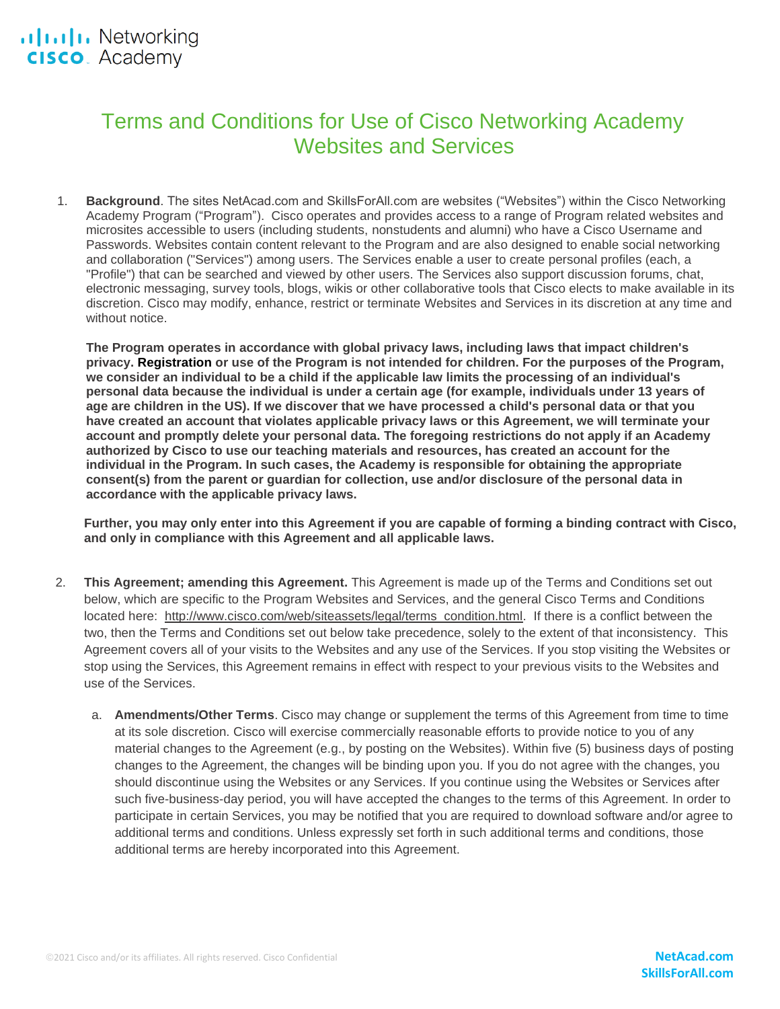# Terms and Conditions for Use of Cisco Networking Academy Websites and Services

1. **Background**. The sites NetAcad.com and SkillsForAll.com are websites ("Websites") within the Cisco Networking Academy Program ("Program"). Cisco operates and provides access to a range of Program related websites and microsites accessible to users (including students, nonstudents and alumni) who have a Cisco Username and Passwords. Websites contain content relevant to the Program and are also designed to enable social networking and collaboration ("Services") among users. The Services enable a user to create personal profiles (each, a "Profile") that can be searched and viewed by other users. The Services also support discussion forums, chat, electronic messaging, survey tools, blogs, wikis or other collaborative tools that Cisco elects to make available in its discretion. Cisco may modify, enhance, restrict or terminate Websites and Services in its discretion at any time and without notice

**The Program operates in accordance with global privacy laws, including laws that impact children's privacy. Registration or use of the Program is not intended for children. For the purposes of the Program, we consider an individual to be a child if the applicable law limits the processing of an individual's personal data because the individual is under a certain age (for example, individuals under 13 years of age are children in the US). If we discover that we have processed a child's personal data or that you have created an account that violates applicable privacy laws or this Agreement, we will terminate your account and promptly delete your personal data. The foregoing restrictions do not apply if an Academy authorized by Cisco to use our teaching materials and resources, has created an account for the individual in the Program. In such cases, the Academy is responsible for obtaining the appropriate consent(s) from the parent or guardian for collection, use and/or disclosure of the personal data in accordance with the applicable privacy laws.**

**Further, you may only enter into this Agreement if you are capable of forming a binding contract with Cisco, and only in compliance with this Agreement and all applicable laws.**

- 2. **This Agreement; amending this Agreement.** This Agreement is made up of the Terms and Conditions set out below, which are specific to the Program Websites and Services, and the general Cisco Terms and Conditions located here: [http://www.cisco.com/web/siteassets/legal/terms\\_condition.html.](http://www.cisco.com/web/siteassets/legal/terms_condition.html) If there is a conflict between the two, then the Terms and Conditions set out below take precedence, solely to the extent of that inconsistency. This Agreement covers all of your visits to the Websites and any use of the Services. If you stop visiting the Websites or stop using the Services, this Agreement remains in effect with respect to your previous visits to the Websites and use of the Services.
	- a. **Amendments/Other Terms**. Cisco may change or supplement the terms of this Agreement from time to time at its sole discretion. Cisco will exercise commercially reasonable efforts to provide notice to you of any material changes to the Agreement (e.g., by posting on the Websites). Within five (5) business days of posting changes to the Agreement, the changes will be binding upon you. If you do not agree with the changes, you should discontinue using the Websites or any Services. If you continue using the Websites or Services after such five-business-day period, you will have accepted the changes to the terms of this Agreement. In order to participate in certain Services, you may be notified that you are required to download software and/or agree to additional terms and conditions. Unless expressly set forth in such additional terms and conditions, those additional terms are hereby incorporated into this Agreement.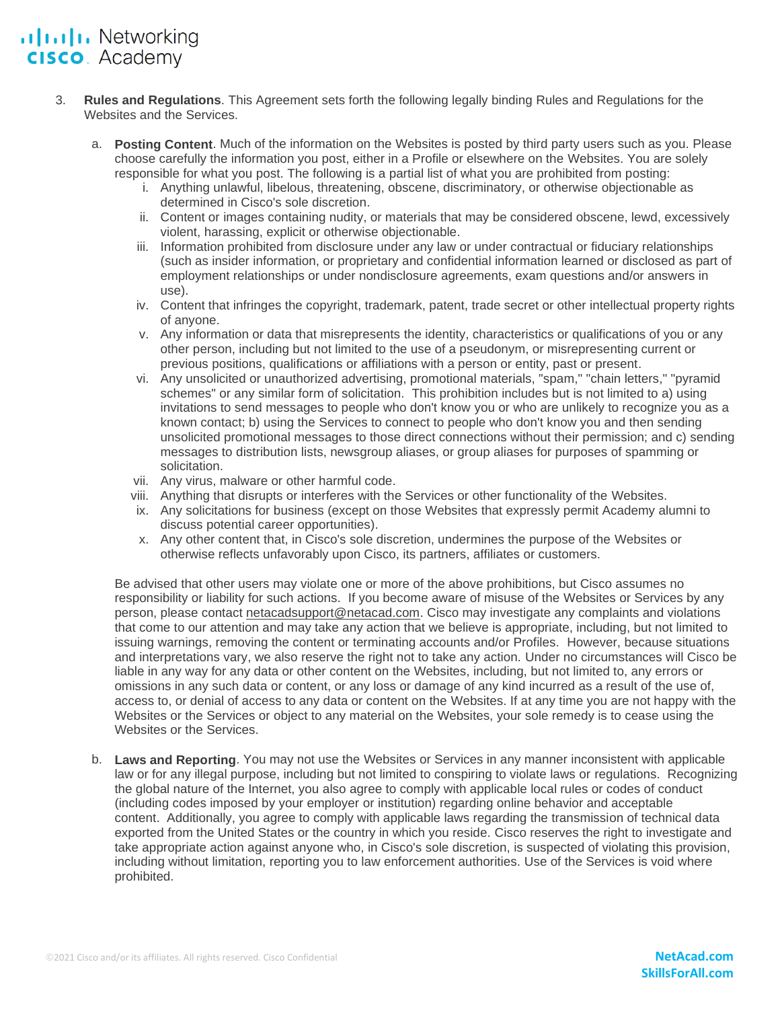### ululu Networking **CISCO**. Academy

- 3. **Rules and Regulations**. This Agreement sets forth the following legally binding Rules and Regulations for the Websites and the Services.
	- a. **Posting Content**. Much of the information on the Websites is posted by third party users such as you. Please choose carefully the information you post, either in a Profile or elsewhere on the Websites. You are solely responsible for what you post. The following is a partial list of what you are prohibited from posting:
		- i. Anything unlawful, libelous, threatening, obscene, discriminatory, or otherwise objectionable as determined in Cisco's sole discretion.
		- ii. Content or images containing nudity, or materials that may be considered obscene, lewd, excessively violent, harassing, explicit or otherwise objectionable.
		- iii. Information prohibited from disclosure under any law or under contractual or fiduciary relationships (such as insider information, or proprietary and confidential information learned or disclosed as part of employment relationships or under nondisclosure agreements, exam questions and/or answers in use).
		- iv. Content that infringes the copyright, trademark, patent, trade secret or other intellectual property rights of anyone.
		- v. Any information or data that misrepresents the identity, characteristics or qualifications of you or any other person, including but not limited to the use of a pseudonym, or misrepresenting current or previous positions, qualifications or affiliations with a person or entity, past or present.
		- vi. Any unsolicited or unauthorized advertising, promotional materials, "spam," "chain letters," "pyramid schemes" or any similar form of solicitation. This prohibition includes but is not limited to a) using invitations to send messages to people who don't know you or who are unlikely to recognize you as a known contact; b) using the Services to connect to people who don't know you and then sending unsolicited promotional messages to those direct connections without their permission; and c) sending messages to distribution lists, newsgroup aliases, or group aliases for purposes of spamming or solicitation.
		- vii. Any virus, malware or other harmful code.
		- viii. Anything that disrupts or interferes with the Services or other functionality of the Websites.
		- ix. Any solicitations for business (except on those Websites that expressly permit Academy alumni to discuss potential career opportunities).
		- x. Any other content that, in Cisco's sole discretion, undermines the purpose of the Websites or otherwise reflects unfavorably upon Cisco, its partners, affiliates or customers.

Be advised that other users may violate one or more of the above prohibitions, but Cisco assumes no responsibility or liability for such actions. If you become aware of misuse of the Websites or Services by any person, please contact [netacadsupport@netacad.com.](mailto:netacadsupport@netacad.com) Cisco may investigate any complaints and violations that come to our attention and may take any action that we believe is appropriate, including, but not limited to issuing warnings, removing the content or terminating accounts and/or Profiles. However, because situations and interpretations vary, we also reserve the right not to take any action. Under no circumstances will Cisco be liable in any way for any data or other content on the Websites, including, but not limited to, any errors or omissions in any such data or content, or any loss or damage of any kind incurred as a result of the use of, access to, or denial of access to any data or content on the Websites. If at any time you are not happy with the Websites or the Services or object to any material on the Websites, your sole remedy is to cease using the Websites or the Services.

b. **Laws and Reporting**. You may not use the Websites or Services in any manner inconsistent with applicable law or for any illegal purpose, including but not limited to conspiring to violate laws or regulations. Recognizing the global nature of the Internet, you also agree to comply with applicable local rules or codes of conduct (including codes imposed by your employer or institution) regarding online behavior and acceptable content. Additionally, you agree to comply with applicable laws regarding the transmission of technical data exported from the United States or the country in which you reside. Cisco reserves the right to investigate and take appropriate action against anyone who, in Cisco's sole discretion, is suspected of violating this provision, including without limitation, reporting you to law enforcement authorities. Use of the Services is void where prohibited.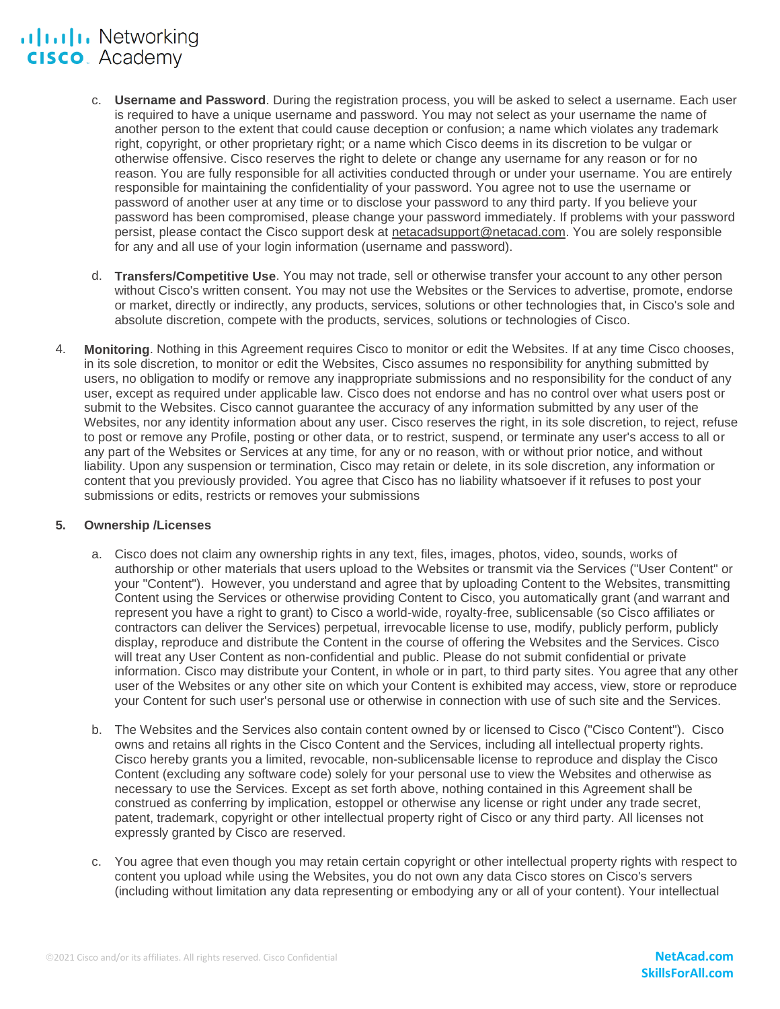## ululu Networking **CISCO**. Academy

- c. **Username and Password**. During the registration process, you will be asked to select a username. Each user is required to have a unique username and password. You may not select as your username the name of another person to the extent that could cause deception or confusion; a name which violates any trademark right, copyright, or other proprietary right; or a name which Cisco deems in its discretion to be vulgar or otherwise offensive. Cisco reserves the right to delete or change any username for any reason or for no reason. You are fully responsible for all activities conducted through or under your username. You are entirely responsible for maintaining the confidentiality of your password. You agree not to use the username or password of another user at any time or to disclose your password to any third party. If you believe your password has been compromised, please change your password immediately. If problems with your password persist, please contact the Cisco support desk at [netacadsupport@netacad.com.](mailto:netacadsupport@netacad.com) You are solely responsible for any and all use of your login information (username and password).
- d. **Transfers/Competitive Use**. You may not trade, sell or otherwise transfer your account to any other person without Cisco's written consent. You may not use the Websites or the Services to advertise, promote, endorse or market, directly or indirectly, any products, services, solutions or other technologies that, in Cisco's sole and absolute discretion, compete with the products, services, solutions or technologies of Cisco.
- 4. **Monitoring**. Nothing in this Agreement requires Cisco to monitor or edit the Websites. If at any time Cisco chooses, in its sole discretion, to monitor or edit the Websites, Cisco assumes no responsibility for anything submitted by users, no obligation to modify or remove any inappropriate submissions and no responsibility for the conduct of any user, except as required under applicable law. Cisco does not endorse and has no control over what users post or submit to the Websites. Cisco cannot guarantee the accuracy of any information submitted by any user of the Websites, nor any identity information about any user. Cisco reserves the right, in its sole discretion, to reject, refuse to post or remove any Profile, posting or other data, or to restrict, suspend, or terminate any user's access to all or any part of the Websites or Services at any time, for any or no reason, with or without prior notice, and without liability. Upon any suspension or termination, Cisco may retain or delete, in its sole discretion, any information or content that you previously provided. You agree that Cisco has no liability whatsoever if it refuses to post your submissions or edits, restricts or removes your submissions

### **5. Ownership /Licenses**

- a. Cisco does not claim any ownership rights in any text, files, images, photos, video, sounds, works of authorship or other materials that users upload to the Websites or transmit via the Services ("User Content" or your "Content"). However, you understand and agree that by uploading Content to the Websites, transmitting Content using the Services or otherwise providing Content to Cisco, you automatically grant (and warrant and represent you have a right to grant) to Cisco a world-wide, royalty-free, sublicensable (so Cisco affiliates or contractors can deliver the Services) perpetual, irrevocable license to use, modify, publicly perform, publicly display, reproduce and distribute the Content in the course of offering the Websites and the Services. Cisco will treat any User Content as non-confidential and public. Please do not submit confidential or private information. Cisco may distribute your Content, in whole or in part, to third party sites. You agree that any other user of the Websites or any other site on which your Content is exhibited may access, view, store or reproduce your Content for such user's personal use or otherwise in connection with use of such site and the Services.
- b. The Websites and the Services also contain content owned by or licensed to Cisco ("Cisco Content"). Cisco owns and retains all rights in the Cisco Content and the Services, including all intellectual property rights. Cisco hereby grants you a limited, revocable, non-sublicensable license to reproduce and display the Cisco Content (excluding any software code) solely for your personal use to view the Websites and otherwise as necessary to use the Services. Except as set forth above, nothing contained in this Agreement shall be construed as conferring by implication, estoppel or otherwise any license or right under any trade secret, patent, trademark, copyright or other intellectual property right of Cisco or any third party. All licenses not expressly granted by Cisco are reserved.
- c. You agree that even though you may retain certain copyright or other intellectual property rights with respect to content you upload while using the Websites, you do not own any data Cisco stores on Cisco's servers (including without limitation any data representing or embodying any or all of your content). Your intellectual